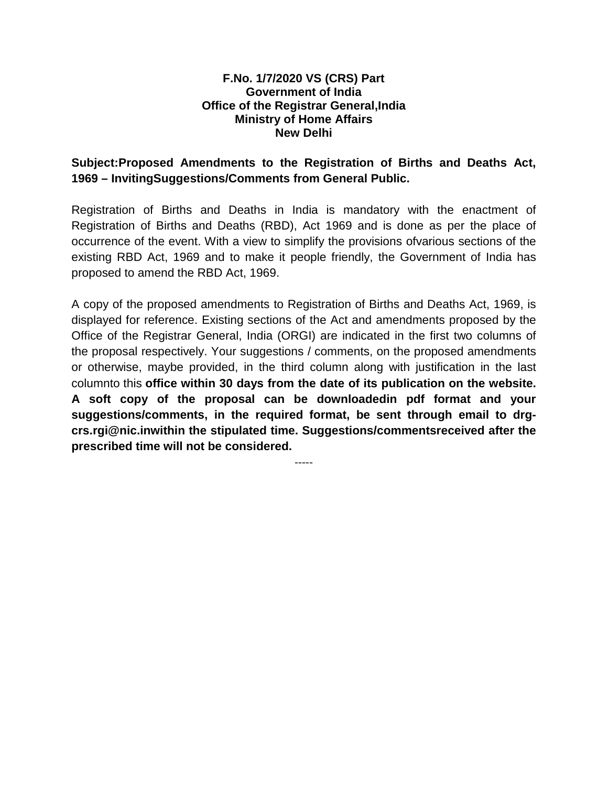## **F.No. 1/7/2020 VS (CRS) Part Government of India Office of the Registrar General,India Ministry of Home Affairs New Delhi**

## **Subject:Proposed Amendments to the Registration of Births and Deaths Act, 1969 – InvitingSuggestions/Comments from General Public.**

Registration of Births and Deaths in India is mandatory with the enactment of Registration of Births and Deaths (RBD), Act 1969 and is done as per the place of occurrence of the event. With a view to simplify the provisions ofvarious sections of the existing RBD Act, 1969 and to make it people friendly, the Government of India has proposed to amend the RBD Act, 1969.

A copy of the proposed amendments to Registration of Births and Deaths Act, 1969, is displayed for reference. Existing sections of the Act and amendments proposed by the Office of the Registrar General, India (ORGI) are indicated in the first two columns of the proposal respectively. Your suggestions / comments, on the proposed amendments or otherwise, maybe provided, in the third column along with justification in the last columnto this **office within 30 days from the date of its publication on the website. A soft copy of the proposal can be downloadedin pdf format and your suggestions/comments, in the required format, be sent through email to drgcrs.rgi@nic.inwithin the stipulated time. Suggestions/commentsreceived after the prescribed time will not be considered.**

-----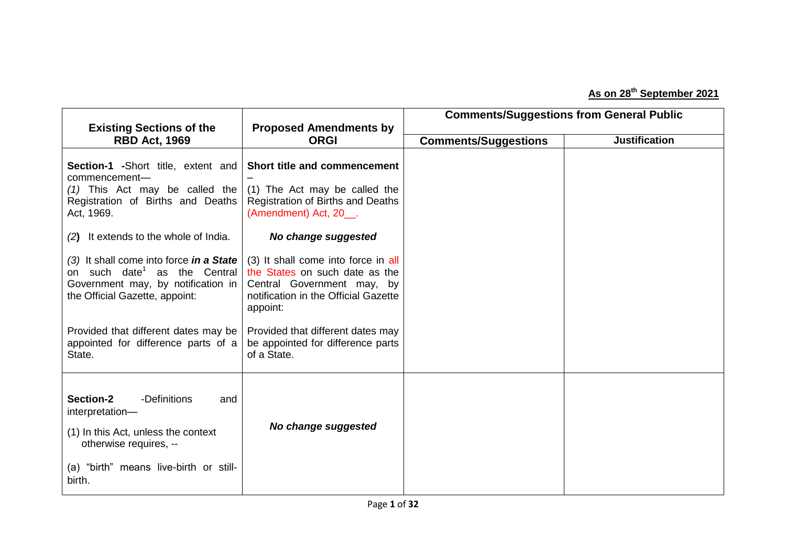## **As on 28th September 2021**

| <b>Existing Sections of the</b>                                                                                                                                          | <b>Proposed Amendments by</b>                                                                                                                           |                             | <b>Comments/Suggestions from General Public</b> |
|--------------------------------------------------------------------------------------------------------------------------------------------------------------------------|---------------------------------------------------------------------------------------------------------------------------------------------------------|-----------------------------|-------------------------------------------------|
| <b>RBD Act, 1969</b>                                                                                                                                                     | <b>ORGI</b>                                                                                                                                             | <b>Comments/Suggestions</b> | <b>Justification</b>                            |
| <b>Section-1</b> -Short title, extent and<br>commencement-<br>$(1)$ This Act may be called the<br>Registration of Births and Deaths<br>Act, 1969.                        | Short title and commencement<br>(1) The Act may be called the<br>Registration of Births and Deaths<br>(Amendment) Act, 20__.                            |                             |                                                 |
| (2) It extends to the whole of India.                                                                                                                                    | No change suggested                                                                                                                                     |                             |                                                 |
| (3) It shall come into force in a State<br>on such date <sup>1</sup> as the Central<br>Government may, by notification in<br>the Official Gazette, appoint:              | (3) It shall come into force in all<br>the States on such date as the<br>Central Government may, by<br>notification in the Official Gazette<br>appoint: |                             |                                                 |
| Provided that different dates may be<br>appointed for difference parts of a<br>State.                                                                                    | Provided that different dates may<br>be appointed for difference parts<br>of a State.                                                                   |                             |                                                 |
| Section-2<br>-Definitions<br>and<br>interpretation-<br>(1) In this Act, unless the context<br>otherwise requires, --<br>(a) "birth" means live-birth or still-<br>birth. | No change suggested                                                                                                                                     |                             |                                                 |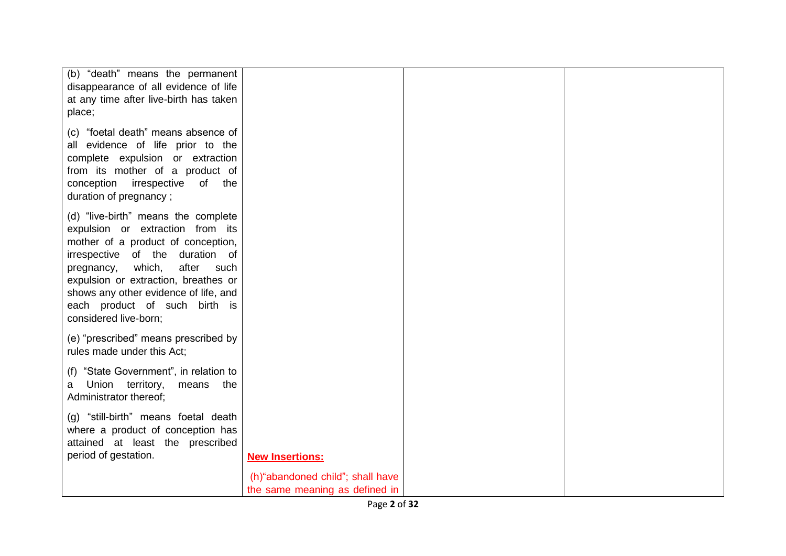| (b) "death" means the permanent        |                                  |  |
|----------------------------------------|----------------------------------|--|
| disappearance of all evidence of life  |                                  |  |
| at any time after live-birth has taken |                                  |  |
| place;                                 |                                  |  |
|                                        |                                  |  |
| (c) "foetal death" means absence of    |                                  |  |
| all evidence of life prior to the      |                                  |  |
| complete expulsion or extraction       |                                  |  |
| from its mother of a product of        |                                  |  |
| conception irrespective of the         |                                  |  |
|                                        |                                  |  |
| duration of pregnancy;                 |                                  |  |
| (d) "live-birth" means the complete    |                                  |  |
| expulsion or extraction from its       |                                  |  |
|                                        |                                  |  |
| mother of a product of conception,     |                                  |  |
| irrespective of the duration of        |                                  |  |
| pregnancy, which,<br>after<br>such     |                                  |  |
| expulsion or extraction, breathes or   |                                  |  |
| shows any other evidence of life, and  |                                  |  |
| each product of such birth is          |                                  |  |
| considered live-born;                  |                                  |  |
|                                        |                                  |  |
| (e) "prescribed" means prescribed by   |                                  |  |
| rules made under this Act;             |                                  |  |
|                                        |                                  |  |
| (f) "State Government", in relation to |                                  |  |
| Union territory, means the<br>a        |                                  |  |
| Administrator thereof;                 |                                  |  |
|                                        |                                  |  |
| (g) "still-birth" means foetal death   |                                  |  |
| where a product of conception has      |                                  |  |
| attained at least the prescribed       |                                  |  |
| period of gestation.                   | <b>New Insertions:</b>           |  |
|                                        |                                  |  |
|                                        | (h)"abandoned child"; shall have |  |
|                                        | the same meaning as defined in   |  |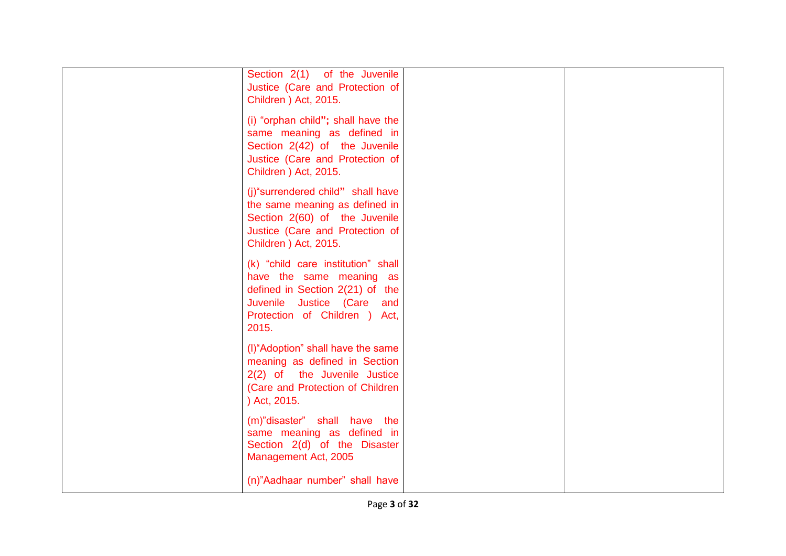| Section 2(1) of the Juvenile<br>Justice (Care and Protection of<br>Children ) Act, 2015.                                                                                  |  |
|---------------------------------------------------------------------------------------------------------------------------------------------------------------------------|--|
| (i) "orphan child"; shall have the<br>same meaning as defined in<br>Section 2(42) of the Juvenile<br>Justice (Care and Protection of<br>Children ) Act, 2015.             |  |
| (j)"surrendered child" shall have<br>the same meaning as defined in<br>Section 2(60) of the Juvenile<br>Justice (Care and Protection of<br>Children ) Act, 2015.          |  |
| (k) "child care institution" shall<br>have the same meaning as<br>defined in Section 2(21) of the<br>Juvenile Justice (Care and<br>Protection of Children ) Act,<br>2015. |  |
| (I) "Adoption" shall have the same<br>meaning as defined in Section<br>2(2) of the Juvenile Justice<br>(Care and Protection of Children<br>) Act, 2015.                   |  |
| (m)"disaster" shall have the<br>same meaning as defined in<br>Section 2(d) of the Disaster<br>Management Act, 2005                                                        |  |
| (n)"Aadhaar number" shall have                                                                                                                                            |  |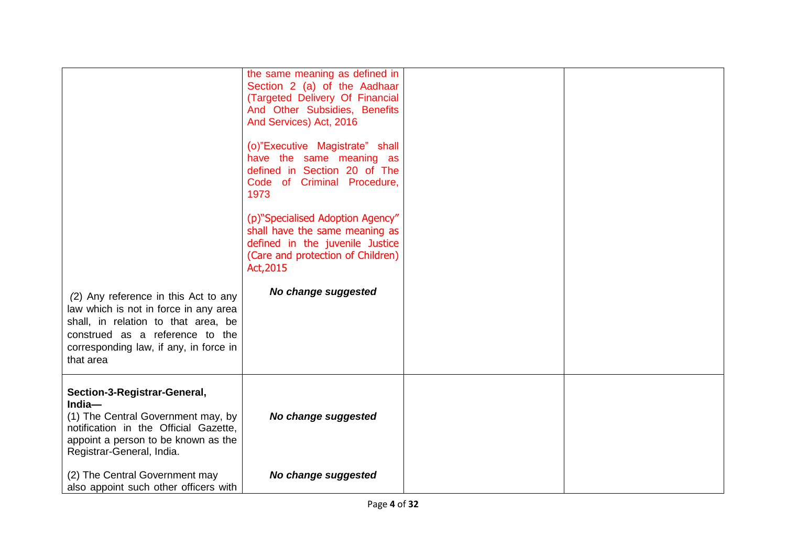|                                                                           | the same meaning as defined in                                                                                                     |  |
|---------------------------------------------------------------------------|------------------------------------------------------------------------------------------------------------------------------------|--|
|                                                                           | Section 2 (a) of the Aadhaar                                                                                                       |  |
|                                                                           | (Targeted Delivery Of Financial                                                                                                    |  |
|                                                                           | And Other Subsidies, Benefits                                                                                                      |  |
|                                                                           | And Services) Act, 2016                                                                                                            |  |
|                                                                           | (o)"Executive Magistrate" shall<br>have the same meaning as<br>defined in Section 20 of The<br>Code of Criminal Procedure,<br>1973 |  |
|                                                                           | (p)"Specialised Adoption Agency"                                                                                                   |  |
|                                                                           | shall have the same meaning as                                                                                                     |  |
|                                                                           | defined in the juvenile Justice                                                                                                    |  |
|                                                                           | (Care and protection of Children)<br>Act, 2015                                                                                     |  |
|                                                                           | No change suggested                                                                                                                |  |
| (2) Any reference in this Act to any                                      |                                                                                                                                    |  |
| law which is not in force in any area                                     |                                                                                                                                    |  |
| shall, in relation to that area, be                                       |                                                                                                                                    |  |
| construed as a reference to the<br>corresponding law, if any, in force in |                                                                                                                                    |  |
| that area                                                                 |                                                                                                                                    |  |
|                                                                           |                                                                                                                                    |  |
| Section-3-Registrar-General,<br>India-                                    |                                                                                                                                    |  |
| (1) The Central Government may, by                                        | No change suggested                                                                                                                |  |
| notification in the Official Gazette,                                     |                                                                                                                                    |  |
| appoint a person to be known as the                                       |                                                                                                                                    |  |
| Registrar-General, India.                                                 |                                                                                                                                    |  |
| (2) The Central Government may                                            | No change suggested                                                                                                                |  |
| also appoint such other officers with                                     |                                                                                                                                    |  |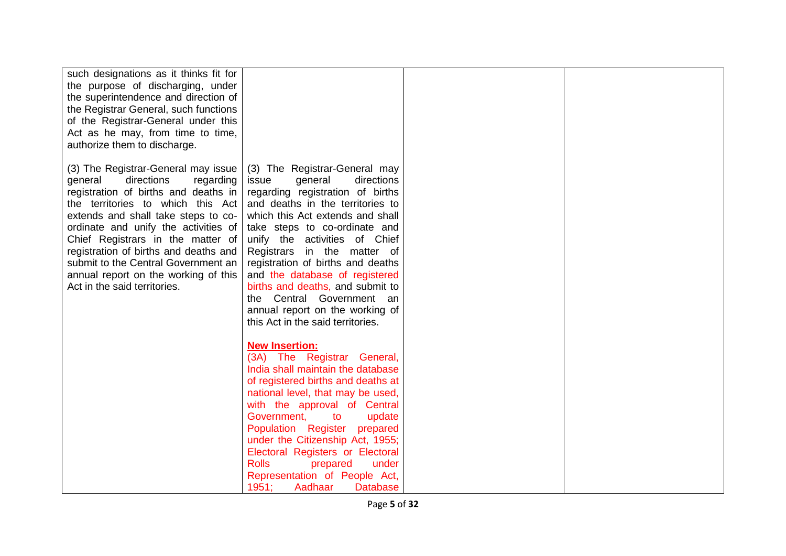| such designations as it thinks fit for<br>the purpose of discharging, under<br>the superintendence and direction of<br>the Registrar General, such functions<br>of the Registrar-General under this<br>Act as he may, from time to time,<br>authorize them to discharge.                                                                                                                                                           |                                                                                                                                                                                                                                                                                                                                                                                                                                                                                              |  |
|------------------------------------------------------------------------------------------------------------------------------------------------------------------------------------------------------------------------------------------------------------------------------------------------------------------------------------------------------------------------------------------------------------------------------------|----------------------------------------------------------------------------------------------------------------------------------------------------------------------------------------------------------------------------------------------------------------------------------------------------------------------------------------------------------------------------------------------------------------------------------------------------------------------------------------------|--|
| (3) The Registrar-General may issue<br>directions<br>general<br>regarding<br>registration of births and deaths in<br>the territories to which this Act<br>extends and shall take steps to co-<br>ordinate and unify the activities of<br>Chief Registrars in the matter of<br>registration of births and deaths and<br>submit to the Central Government an<br>annual report on the working of this<br>Act in the said territories. | (3) The Registrar-General may<br>directions<br>issue<br>general<br>regarding registration of births<br>and deaths in the territories to<br>which this Act extends and shall<br>take steps to co-ordinate and<br>unify the activities of Chief<br>Registrars in the matter of<br>registration of births and deaths<br>and the database of registered<br>births and deaths, and submit to<br>the Central Government an<br>annual report on the working of<br>this Act in the said territories. |  |
|                                                                                                                                                                                                                                                                                                                                                                                                                                    | <b>New Insertion:</b><br>(3A) The Registrar General,<br>India shall maintain the database<br>of registered births and deaths at<br>national level, that may be used,<br>with the approval of Central<br>Government,<br>to<br>update<br>Population Register<br>prepared<br>under the Citizenship Act, 1955;<br>Electoral Registers or Electoral<br><b>Rolls</b><br>prepared<br>under<br>Representation of People Act,<br>1951;<br>Aadhaar<br><b>Database</b>                                  |  |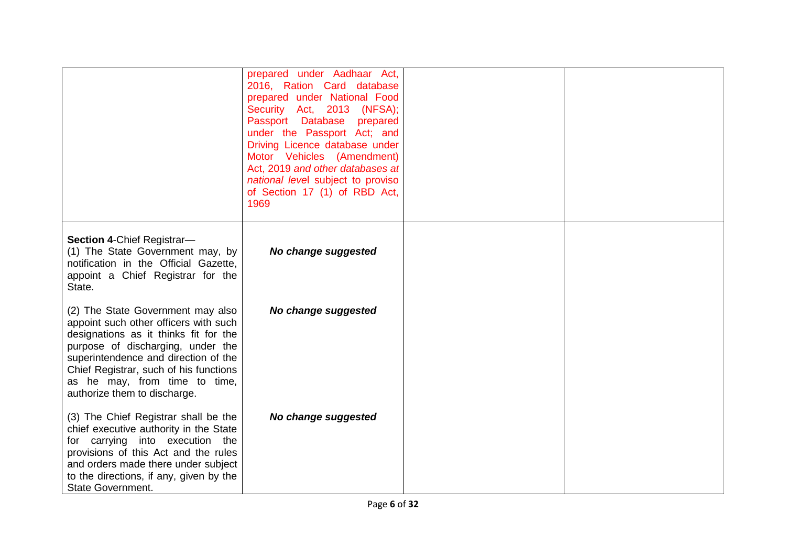|                                                                                                                                                                                                                                                                                                             | prepared under Aadhaar Act,<br>2016, Ration Card database<br>prepared under National Food<br>Security Act, 2013 (NFSA);<br>Passport Database<br>prepared<br>under the Passport Act; and<br>Driving Licence database under<br>Motor Vehicles (Amendment)<br>Act, 2019 and other databases at<br>national level subject to proviso<br>of Section 17 (1) of RBD Act,<br>1969 |  |
|-------------------------------------------------------------------------------------------------------------------------------------------------------------------------------------------------------------------------------------------------------------------------------------------------------------|---------------------------------------------------------------------------------------------------------------------------------------------------------------------------------------------------------------------------------------------------------------------------------------------------------------------------------------------------------------------------|--|
| Section 4-Chief Registrar-<br>(1) The State Government may, by<br>notification in the Official Gazette,<br>appoint a Chief Registrar for the<br>State.                                                                                                                                                      | No change suggested                                                                                                                                                                                                                                                                                                                                                       |  |
| (2) The State Government may also<br>appoint such other officers with such<br>designations as it thinks fit for the<br>purpose of discharging, under the<br>superintendence and direction of the<br>Chief Registrar, such of his functions<br>as he may, from time to time,<br>authorize them to discharge. | No change suggested                                                                                                                                                                                                                                                                                                                                                       |  |
| (3) The Chief Registrar shall be the<br>chief executive authority in the State<br>for carrying into execution the<br>provisions of this Act and the rules<br>and orders made there under subject<br>to the directions, if any, given by the<br><b>State Government.</b>                                     | No change suggested                                                                                                                                                                                                                                                                                                                                                       |  |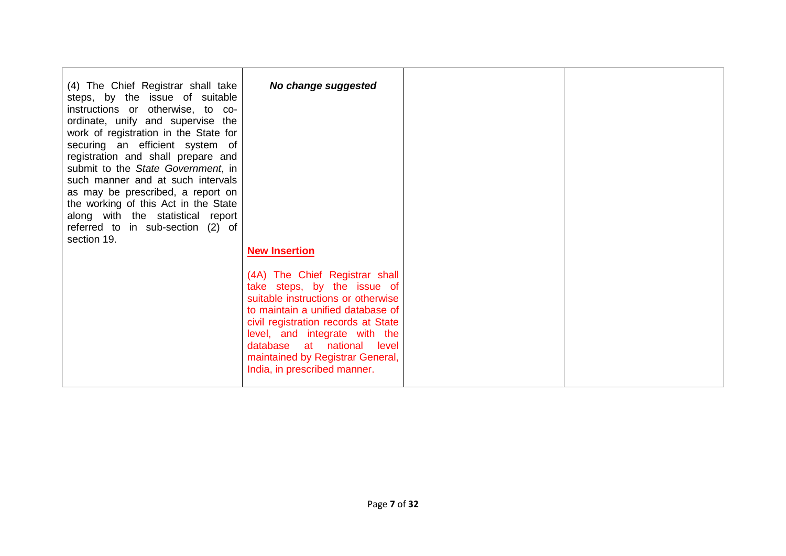| (4) The Chief Registrar shall take<br>steps, by the issue of suitable<br>instructions or otherwise, to co-<br>ordinate, unify and supervise the<br>work of registration in the State for<br>securing an efficient system of<br>registration and shall prepare and<br>submit to the State Government, in<br>such manner and at such intervals<br>as may be prescribed, a report on<br>the working of this Act in the State<br>along with the statistical report<br>referred to in sub-section (2) of | No change suggested                                                                                                                                                                                                                                                                                                                        |  |
|-----------------------------------------------------------------------------------------------------------------------------------------------------------------------------------------------------------------------------------------------------------------------------------------------------------------------------------------------------------------------------------------------------------------------------------------------------------------------------------------------------|--------------------------------------------------------------------------------------------------------------------------------------------------------------------------------------------------------------------------------------------------------------------------------------------------------------------------------------------|--|
| section 19.                                                                                                                                                                                                                                                                                                                                                                                                                                                                                         | <b>New Insertion</b><br>(4A) The Chief Registrar shall<br>take steps, by the issue of<br>suitable instructions or otherwise<br>to maintain a unified database of<br>civil registration records at State<br>level, and integrate with the<br>database at national level<br>maintained by Registrar General,<br>India, in prescribed manner. |  |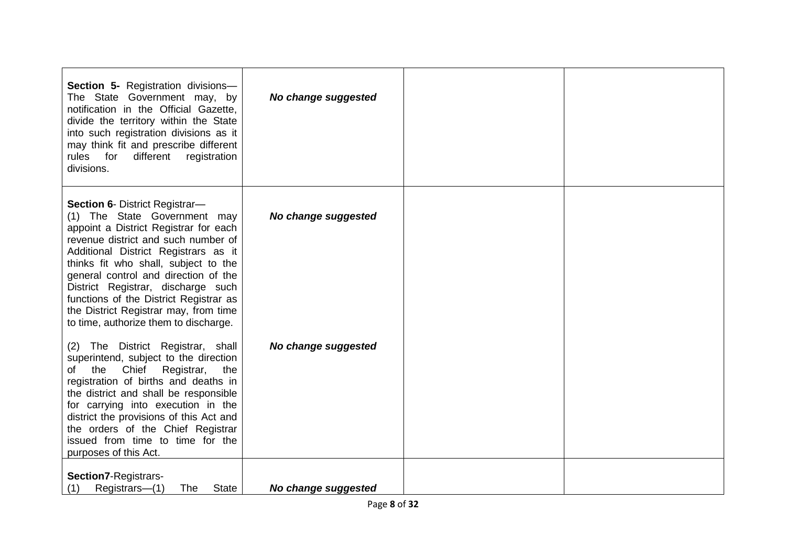| Section 5- Registration divisions-<br>The State Government may, by<br>notification in the Official Gazette,<br>divide the territory within the State<br>into such registration divisions as it<br>may think fit and prescribe different<br>rules for<br>different<br>registration<br>divisions.                                                                                                                                          | No change suggested |  |
|------------------------------------------------------------------------------------------------------------------------------------------------------------------------------------------------------------------------------------------------------------------------------------------------------------------------------------------------------------------------------------------------------------------------------------------|---------------------|--|
| Section 6- District Registrar-<br>(1) The State Government may<br>appoint a District Registrar for each<br>revenue district and such number of<br>Additional District Registrars as it<br>thinks fit who shall, subject to the<br>general control and direction of the<br>District Registrar, discharge such<br>functions of the District Registrar as<br>the District Registrar may, from time<br>to time, authorize them to discharge. | No change suggested |  |
| (2) The District Registrar, shall<br>superintend, subject to the direction<br>Chief<br>the<br>Registrar,<br>the<br>of<br>registration of births and deaths in<br>the district and shall be responsible<br>for carrying into execution in the<br>district the provisions of this Act and<br>the orders of the Chief Registrar<br>issued from time to time for the<br>purposes of this Act.                                                | No change suggested |  |
| Section7-Registrars-<br>Registrars-(1)<br>The<br><b>State</b><br>(1)                                                                                                                                                                                                                                                                                                                                                                     | No change suggested |  |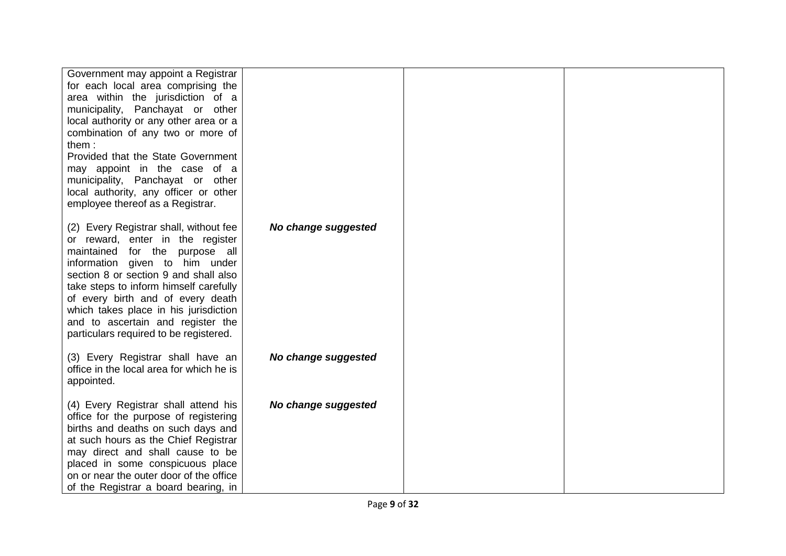| Government may appoint a Registrar<br>for each local area comprising the<br>area within the jurisdiction of a<br>municipality, Panchayat or other<br>local authority or any other area or a<br>combination of any two or more of<br>them:<br>Provided that the State Government                                                                                                                |                     |  |
|------------------------------------------------------------------------------------------------------------------------------------------------------------------------------------------------------------------------------------------------------------------------------------------------------------------------------------------------------------------------------------------------|---------------------|--|
| may appoint in the case of a<br>municipality, Panchayat or other<br>local authority, any officer or other<br>employee thereof as a Registrar.                                                                                                                                                                                                                                                  |                     |  |
| (2) Every Registrar shall, without fee<br>or reward, enter in the register<br>maintained for the purpose all<br>information given to him under<br>section 8 or section 9 and shall also<br>take steps to inform himself carefully<br>of every birth and of every death<br>which takes place in his jurisdiction<br>and to ascertain and register the<br>particulars required to be registered. | No change suggested |  |
| (3) Every Registrar shall have an<br>office in the local area for which he is<br>appointed.                                                                                                                                                                                                                                                                                                    | No change suggested |  |
| (4) Every Registrar shall attend his<br>office for the purpose of registering<br>births and deaths on such days and<br>at such hours as the Chief Registrar<br>may direct and shall cause to be<br>placed in some conspicuous place<br>on or near the outer door of the office<br>of the Registrar a board bearing, in                                                                         | No change suggested |  |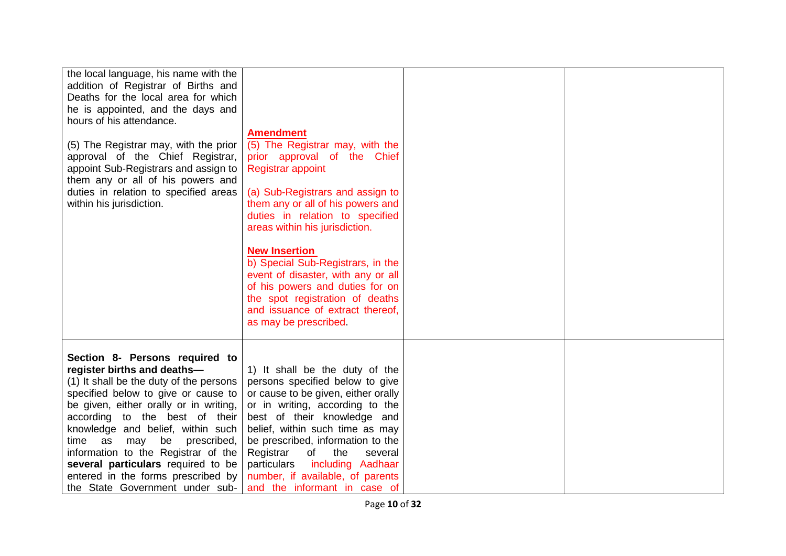| the local language, his name with the<br>addition of Registrar of Births and<br>Deaths for the local area for which<br>he is appointed, and the days and<br>hours of his attendance.<br>(5) The Registrar may, with the prior<br>approval of the Chief Registrar,<br>appoint Sub-Registrars and assign to<br>them any or all of his powers and<br>duties in relation to specified areas<br>within his jurisdiction.                                           | <b>Amendment</b><br>(5) The Registrar may, with the<br>prior approval of the Chief<br><b>Registrar appoint</b><br>(a) Sub-Registrars and assign to<br>them any or all of his powers and<br>duties in relation to specified<br>areas within his jurisdiction.<br><b>New Insertion</b><br>b) Special Sub-Registrars, in the<br>event of disaster, with any or all<br>of his powers and duties for on<br>the spot registration of deaths<br>and issuance of extract thereof,<br>as may be prescribed. |  |
|---------------------------------------------------------------------------------------------------------------------------------------------------------------------------------------------------------------------------------------------------------------------------------------------------------------------------------------------------------------------------------------------------------------------------------------------------------------|----------------------------------------------------------------------------------------------------------------------------------------------------------------------------------------------------------------------------------------------------------------------------------------------------------------------------------------------------------------------------------------------------------------------------------------------------------------------------------------------------|--|
| Section 8- Persons required to<br>register births and deaths-<br>(1) It shall be the duty of the persons<br>specified below to give or cause to<br>be given, either orally or in writing,<br>according to the best of their<br>knowledge and belief, within such<br>be<br>prescribed,<br>time as<br>may<br>information to the Registrar of the<br>several particulars required to be<br>entered in the forms prescribed by<br>the State Government under sub- | 1) It shall be the duty of the<br>persons specified below to give<br>or cause to be given, either orally<br>or in writing, according to the<br>best of their knowledge and<br>belief, within such time as may<br>be prescribed, information to the<br>Registrar<br>of<br>the<br>several<br>including Aadhaar<br>particulars<br>number, if available, of parents<br>and the informant in case of                                                                                                    |  |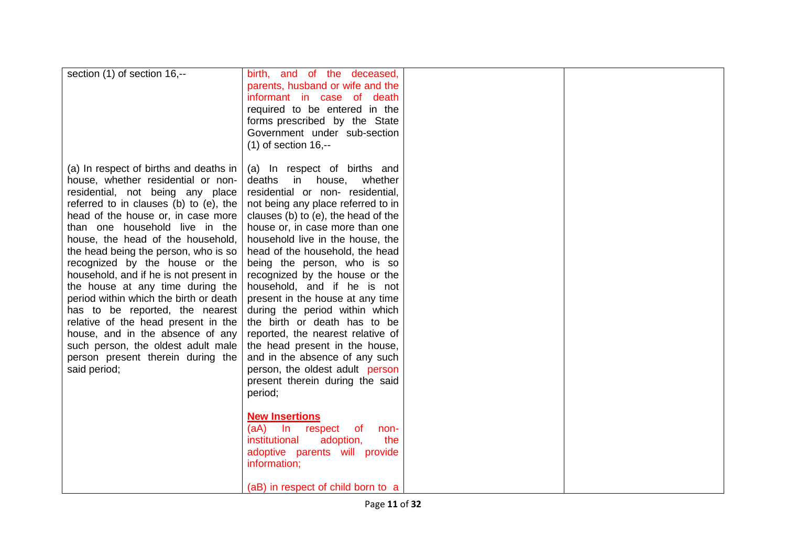| section (1) of section 16,--           | birth, and of the deceased,         |  |
|----------------------------------------|-------------------------------------|--|
|                                        | parents, husband or wife and the    |  |
|                                        |                                     |  |
|                                        | informant in case of death          |  |
|                                        | required to be entered in the       |  |
|                                        | forms prescribed by the State       |  |
|                                        | Government under sub-section        |  |
|                                        | $(1)$ of section 16,--              |  |
|                                        |                                     |  |
| (a) In respect of births and deaths in | (a) In respect of births and        |  |
| house, whether residential or non-     | deaths<br>in<br>house,<br>whether   |  |
| residential, not being any place       | residential or non- residential,    |  |
| referred to in clauses (b) to (e), the | not being any place referred to in  |  |
| head of the house or, in case more     | clauses (b) to (e), the head of the |  |
| than one household live in the         | house or, in case more than one     |  |
|                                        | household live in the house, the    |  |
| house, the head of the household,      |                                     |  |
| the head being the person, who is so   | head of the household, the head     |  |
| recognized by the house or the         | being the person, who is so         |  |
| household, and if he is not present in | recognized by the house or the      |  |
| the house at any time during the       | household, and if he is not         |  |
| period within which the birth or death | present in the house at any time    |  |
| has to be reported, the nearest        | during the period within which      |  |
| relative of the head present in the    | the birth or death has to be        |  |
| house, and in the absence of any       | reported, the nearest relative of   |  |
| such person, the oldest adult male     | the head present in the house,      |  |
| person present therein during the      | and in the absence of any such      |  |
| said period;                           | person, the oldest adult person     |  |
|                                        | present therein during the said     |  |
|                                        | period;                             |  |
|                                        |                                     |  |
|                                        | <b>New Insertions</b>               |  |
|                                        | $(aA)$ In<br>respect<br>of<br>non-  |  |
|                                        | institutional<br>adoption,<br>the   |  |
|                                        | adoptive parents will provide       |  |
|                                        | information;                        |  |
|                                        |                                     |  |
|                                        |                                     |  |
|                                        | (aB) in respect of child born to a  |  |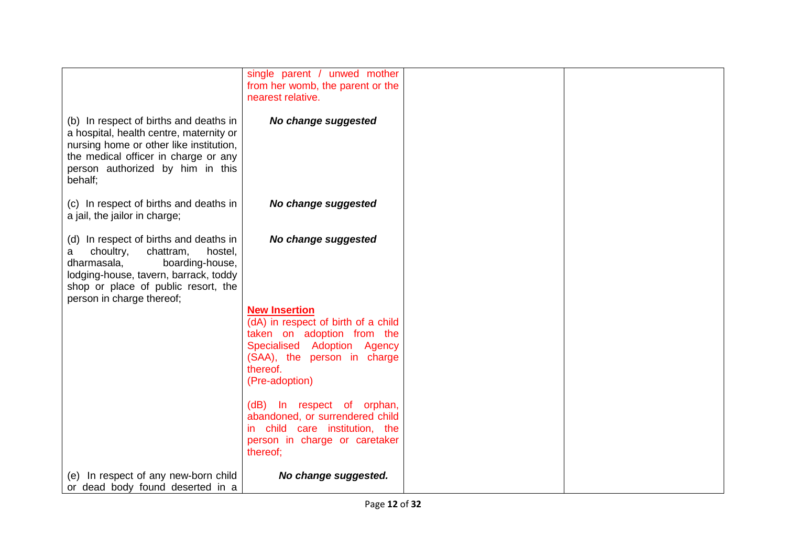|                                                                                                                                                                                                                                 | single parent / unwed mother<br>from her womb, the parent or the                                                                             |  |
|---------------------------------------------------------------------------------------------------------------------------------------------------------------------------------------------------------------------------------|----------------------------------------------------------------------------------------------------------------------------------------------|--|
|                                                                                                                                                                                                                                 | nearest relative.                                                                                                                            |  |
| (b) In respect of births and deaths in<br>a hospital, health centre, maternity or<br>nursing home or other like institution,<br>the medical officer in charge or any<br>person authorized by him in this<br>behalf;             | No change suggested                                                                                                                          |  |
| (c) In respect of births and deaths in<br>a jail, the jailor in charge;                                                                                                                                                         | No change suggested                                                                                                                          |  |
| (d) In respect of births and deaths in<br>chattram,<br>choultry,<br>hostel,<br>a<br>dharmasala,<br>boarding-house,<br>lodging-house, tavern, barrack, toddy<br>shop or place of public resort, the<br>person in charge thereof; | No change suggested                                                                                                                          |  |
|                                                                                                                                                                                                                                 | <b>New Insertion</b>                                                                                                                         |  |
|                                                                                                                                                                                                                                 | (dA) in respect of birth of a child<br>taken on adoption from the                                                                            |  |
|                                                                                                                                                                                                                                 | Specialised Adoption Agency                                                                                                                  |  |
|                                                                                                                                                                                                                                 | (SAA), the person in charge<br>thereof.                                                                                                      |  |
|                                                                                                                                                                                                                                 | (Pre-adoption)                                                                                                                               |  |
|                                                                                                                                                                                                                                 | (dB) In respect of orphan,<br>abandoned, or surrendered child<br>in child care institution, the<br>person in charge or caretaker<br>thereof; |  |
| (e) In respect of any new-born child<br>or dead body found deserted in a                                                                                                                                                        | No change suggested.                                                                                                                         |  |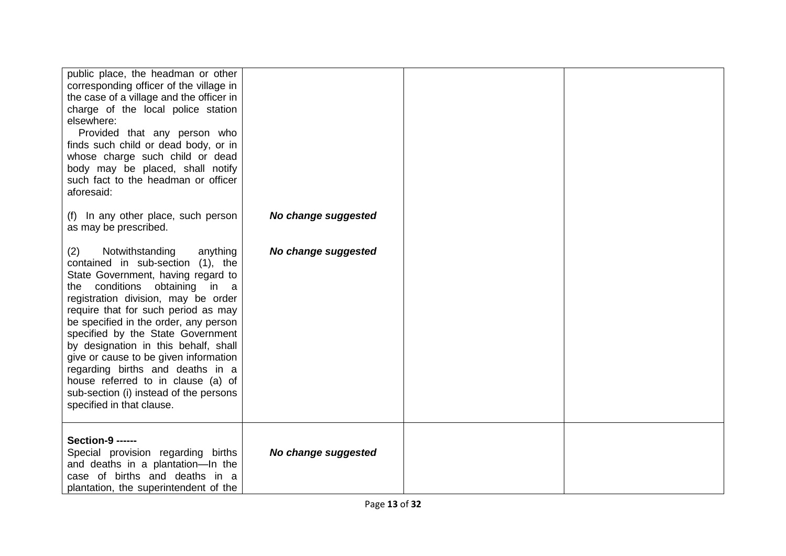| public place, the headman or other<br>corresponding officer of the village in<br>the case of a village and the officer in<br>charge of the local police station<br>elsewhere:<br>Provided that any person who<br>finds such child or dead body, or in<br>whose charge such child or dead<br>body may be placed, shall notify<br>such fact to the headman or officer<br>aforesaid:                                                                                                                                                                  |                     |  |
|----------------------------------------------------------------------------------------------------------------------------------------------------------------------------------------------------------------------------------------------------------------------------------------------------------------------------------------------------------------------------------------------------------------------------------------------------------------------------------------------------------------------------------------------------|---------------------|--|
| (f) In any other place, such person<br>as may be prescribed.                                                                                                                                                                                                                                                                                                                                                                                                                                                                                       | No change suggested |  |
| Notwithstanding<br>anything<br>(2)<br>contained in sub-section (1), the<br>State Government, having regard to<br>conditions obtaining<br>in a<br>the<br>registration division, may be order<br>require that for such period as may<br>be specified in the order, any person<br>specified by the State Government<br>by designation in this behalf, shall<br>give or cause to be given information<br>regarding births and deaths in a<br>house referred to in clause (a) of<br>sub-section (i) instead of the persons<br>specified in that clause. | No change suggested |  |
| <b>Section-9 ------</b><br>Special provision regarding births<br>and deaths in a plantation-In the<br>case of births and deaths in a<br>plantation, the superintendent of the                                                                                                                                                                                                                                                                                                                                                                      | No change suggested |  |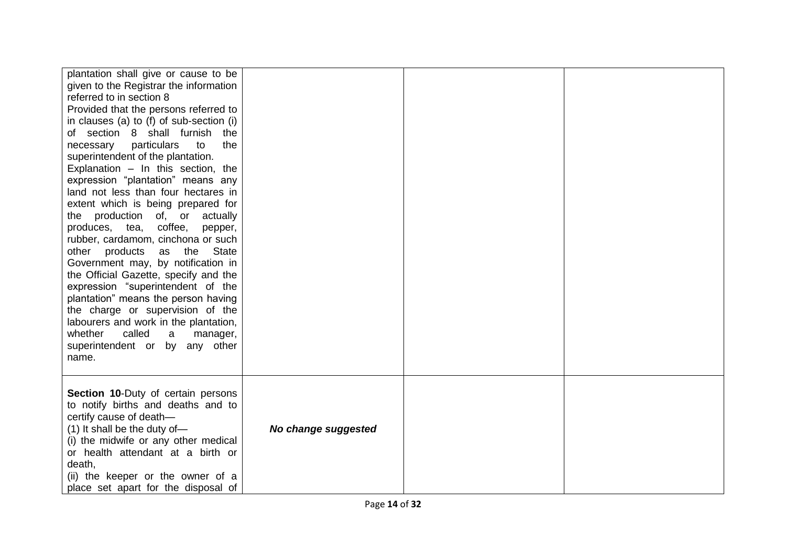| plantation shall give or cause to be<br>given to the Registrar the information<br>referred to in section 8<br>Provided that the persons referred to<br>in clauses (a) to (f) of sub-section (i)<br>of section 8 shall furnish the<br>particulars<br>the<br>necessary<br>to<br>superintendent of the plantation.<br>Explanation $-$ In this section, the<br>expression "plantation" means any<br>land not less than four hectares in<br>extent which is being prepared for<br>the production of, or<br>actually<br>coffee,<br>produces, tea,<br>pepper,<br>rubber, cardamom, cinchona or such<br><b>State</b><br>other products<br>the<br>as<br>Government may, by notification in<br>the Official Gazette, specify and the<br>expression "superintendent of the<br>plantation" means the person having<br>the charge or supervision of the<br>labourers and work in the plantation,<br>called<br>whether<br>a<br>manager,<br>superintendent or by any other<br>name. |                     |  |
|----------------------------------------------------------------------------------------------------------------------------------------------------------------------------------------------------------------------------------------------------------------------------------------------------------------------------------------------------------------------------------------------------------------------------------------------------------------------------------------------------------------------------------------------------------------------------------------------------------------------------------------------------------------------------------------------------------------------------------------------------------------------------------------------------------------------------------------------------------------------------------------------------------------------------------------------------------------------|---------------------|--|
| <b>Section 10-Duty of certain persons</b><br>to notify births and deaths and to<br>certify cause of death-<br>(1) It shall be the duty of-<br>(i) the midwife or any other medical<br>or health attendant at a birth or<br>death,<br>(ii) the keeper or the owner of a<br>place set apart for the disposal of                                                                                                                                                                                                                                                                                                                                                                                                                                                                                                                                                                                                                                                        | No change suggested |  |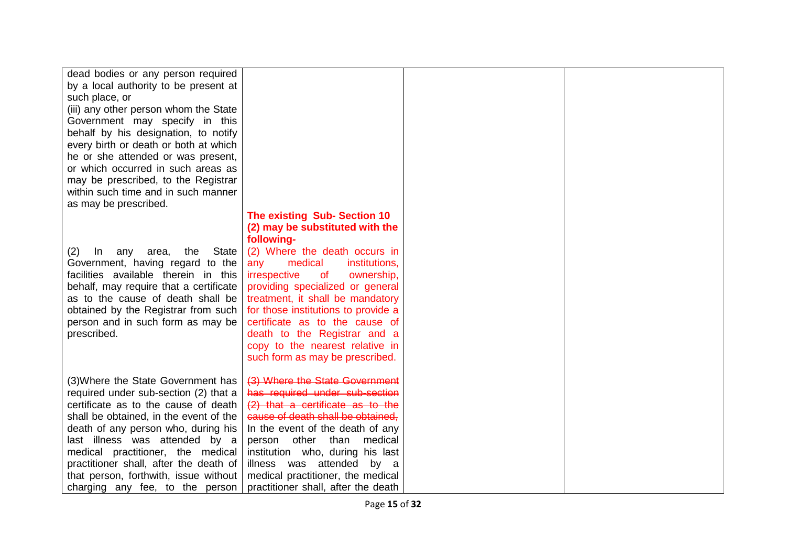| dead bodies or any person required               |                                         |  |
|--------------------------------------------------|-----------------------------------------|--|
| by a local authority to be present at            |                                         |  |
| such place, or                                   |                                         |  |
| (iii) any other person whom the State            |                                         |  |
| Government may specify in this                   |                                         |  |
| behalf by his designation, to notify             |                                         |  |
| every birth or death or both at which            |                                         |  |
| he or she attended or was present,               |                                         |  |
| or which occurred in such areas as               |                                         |  |
| may be prescribed, to the Registrar              |                                         |  |
| within such time and in such manner              |                                         |  |
|                                                  |                                         |  |
| as may be prescribed.                            |                                         |  |
|                                                  | The existing Sub-Section 10             |  |
|                                                  | (2) may be substituted with the         |  |
|                                                  | following-                              |  |
| <b>State</b><br>(2)<br>In<br>any<br>area,<br>the | (2) Where the death occurs in           |  |
| Government, having regard to the                 | medical<br>institutions,<br>any         |  |
| facilities available therein in this             | irrespective<br>ownership,<br><b>of</b> |  |
| behalf, may require that a certificate           | providing specialized or general        |  |
| as to the cause of death shall be                | treatment, it shall be mandatory        |  |
| obtained by the Registrar from such              | for those institutions to provide a     |  |
| person and in such form as may be                | certificate as to the cause of          |  |
| prescribed.                                      | death to the Registrar and a            |  |
|                                                  | copy to the nearest relative in         |  |
|                                                  | such form as may be prescribed.         |  |
|                                                  |                                         |  |
| (3) Where the State Government has               | (3) Where the State Government          |  |
| required under sub-section (2) that a            | has required under sub-section          |  |
| certificate as to the cause of death             | (2) that a certificate as to the        |  |
| shall be obtained, in the event of the           | cause of death shall be obtained.       |  |
| death of any person who, during his              | In the event of the death of any        |  |
| last illness was attended by a                   | other<br>than<br>medical<br>person      |  |
| medical practitioner, the medical                | institution who, during his last        |  |
| practitioner shall, after the death of           | illness was attended by a               |  |
| that person, forthwith, issue without            | medical practitioner, the medical       |  |
| charging any fee, to the person                  | practitioner shall, after the death     |  |
|                                                  |                                         |  |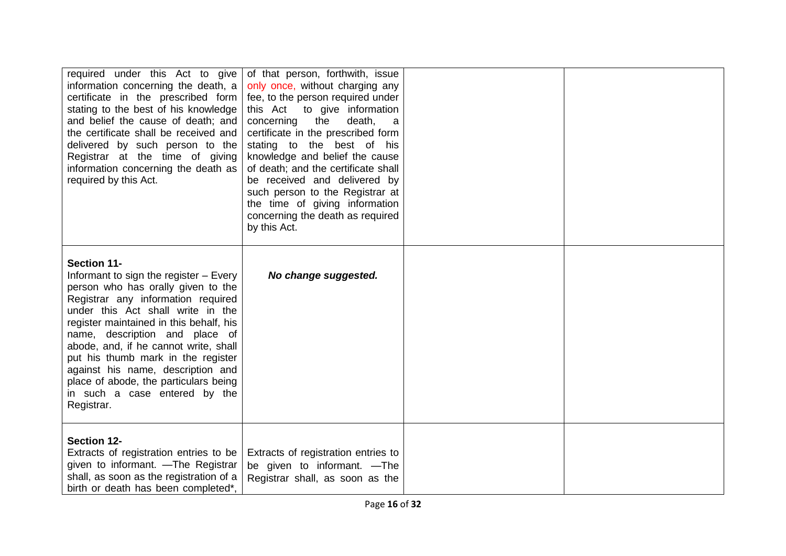| required under this Act to give<br>information concerning the death, a<br>certificate in the prescribed form<br>stating to the best of his knowledge<br>and belief the cause of death; and<br>the certificate shall be received and<br>delivered by such person to the<br>Registrar at the time of giving<br>information concerning the death as<br>required by this Act.                                                                                              | of that person, forthwith, issue<br>only once, without charging any<br>fee, to the person required under<br>this Act to give information<br>concerning<br>death,<br>the<br>a<br>certificate in the prescribed form<br>stating to the best of his<br>knowledge and belief the cause<br>of death; and the certificate shall<br>be received and delivered by<br>such person to the Registrar at<br>the time of giving information<br>concerning the death as required<br>by this Act. |  |
|------------------------------------------------------------------------------------------------------------------------------------------------------------------------------------------------------------------------------------------------------------------------------------------------------------------------------------------------------------------------------------------------------------------------------------------------------------------------|------------------------------------------------------------------------------------------------------------------------------------------------------------------------------------------------------------------------------------------------------------------------------------------------------------------------------------------------------------------------------------------------------------------------------------------------------------------------------------|--|
| <b>Section 11-</b><br>Informant to sign the register - Every<br>person who has orally given to the<br>Registrar any information required<br>under this Act shall write in the<br>register maintained in this behalf, his<br>name, description and place of<br>abode, and, if he cannot write, shall<br>put his thumb mark in the register<br>against his name, description and<br>place of abode, the particulars being<br>in such a case entered by the<br>Registrar. | No change suggested.                                                                                                                                                                                                                                                                                                                                                                                                                                                               |  |
| <b>Section 12-</b><br>Extracts of registration entries to be<br>given to informant. - The Registrar<br>shall, as soon as the registration of a<br>birth or death has been completed*.                                                                                                                                                                                                                                                                                  | Extracts of registration entries to<br>be given to informant. -The<br>Registrar shall, as soon as the                                                                                                                                                                                                                                                                                                                                                                              |  |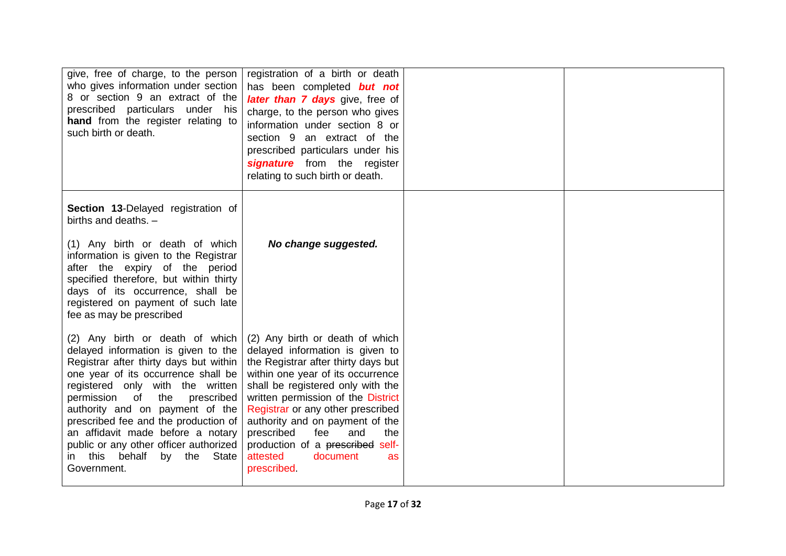| give, free of charge, to the person<br>who gives information under section<br>8 or section 9 an extract of the<br>prescribed particulars under his<br>hand from the register relating to<br>such birth or death.                                                                                                                                                                                                                                | registration of a birth or death<br>has been completed but not<br>later than 7 days give, free of<br>charge, to the person who gives<br>information under section 8 or<br>section 9 an extract of the<br>prescribed particulars under his<br>signature from the register<br>relating to such birth or death.                                                                                                         |  |
|-------------------------------------------------------------------------------------------------------------------------------------------------------------------------------------------------------------------------------------------------------------------------------------------------------------------------------------------------------------------------------------------------------------------------------------------------|----------------------------------------------------------------------------------------------------------------------------------------------------------------------------------------------------------------------------------------------------------------------------------------------------------------------------------------------------------------------------------------------------------------------|--|
| Section 13-Delayed registration of<br>births and deaths. -                                                                                                                                                                                                                                                                                                                                                                                      |                                                                                                                                                                                                                                                                                                                                                                                                                      |  |
| (1) Any birth or death of which<br>information is given to the Registrar<br>after the expiry of the period<br>specified therefore, but within thirty<br>days of its occurrence, shall be<br>registered on payment of such late<br>fee as may be prescribed                                                                                                                                                                                      | No change suggested.                                                                                                                                                                                                                                                                                                                                                                                                 |  |
| (2) Any birth or death of which<br>delayed information is given to the<br>Registrar after thirty days but within<br>one year of its occurrence shall be<br>registered only with the written<br>permission of<br>the<br>prescribed<br>authority and on payment of the<br>prescribed fee and the production of<br>an affidavit made before a notary<br>public or any other officer authorized<br>behalf<br>in this<br>by the State<br>Government. | (2) Any birth or death of which<br>delayed information is given to<br>the Registrar after thirty days but<br>within one year of its occurrence<br>shall be registered only with the<br>written permission of the District<br>Registrar or any other prescribed<br>authority and on payment of the<br>prescribed<br>fee<br>and<br>the<br>production of a prescribed self-<br>attested<br>document<br>as<br>prescribed |  |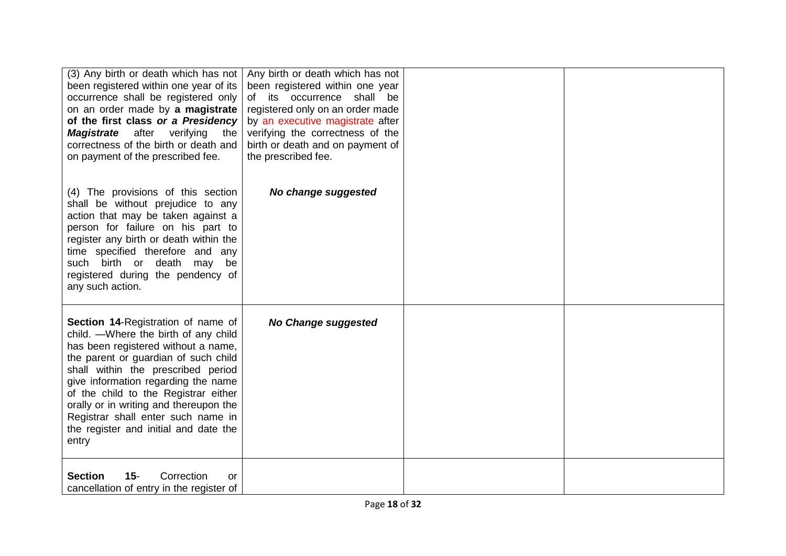| (3) Any birth or death which has not<br>been registered within one year of its<br>occurrence shall be registered only<br>on an order made by a magistrate<br>of the first class or a Presidency<br><b>Magistrate</b> after verifying the<br>correctness of the birth or death and<br>on payment of the prescribed fee.                                                                                            | Any birth or death which has not<br>been registered within one year<br>its occurrence shall be<br>of<br>registered only on an order made<br>by an executive magistrate after<br>verifying the correctness of the<br>birth or death and on payment of<br>the prescribed fee. |  |
|-------------------------------------------------------------------------------------------------------------------------------------------------------------------------------------------------------------------------------------------------------------------------------------------------------------------------------------------------------------------------------------------------------------------|-----------------------------------------------------------------------------------------------------------------------------------------------------------------------------------------------------------------------------------------------------------------------------|--|
| (4) The provisions of this section<br>shall be without prejudice to any<br>action that may be taken against a<br>person for failure on his part to<br>register any birth or death within the<br>time specified therefore and any<br>such birth or death<br>may<br>be<br>registered during the pendency of<br>any such action.                                                                                     | No change suggested                                                                                                                                                                                                                                                         |  |
| Section 14-Registration of name of<br>child. - Where the birth of any child<br>has been registered without a name,<br>the parent or guardian of such child<br>shall within the prescribed period<br>give information regarding the name<br>of the child to the Registrar either<br>orally or in writing and thereupon the<br>Registrar shall enter such name in<br>the register and initial and date the<br>entry | <b>No Change suggested</b>                                                                                                                                                                                                                                                  |  |
| <b>Section</b><br>$15 -$<br>Correction<br>or<br>cancellation of entry in the register of                                                                                                                                                                                                                                                                                                                          |                                                                                                                                                                                                                                                                             |  |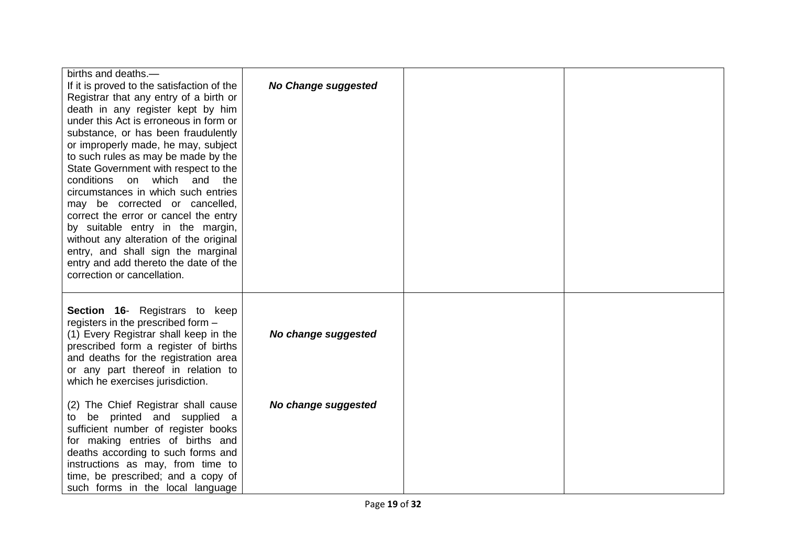| births and deaths.-<br>If it is proved to the satisfaction of the<br>Registrar that any entry of a birth or<br>death in any register kept by him<br>under this Act is erroneous in form or<br>substance, or has been fraudulently<br>or improperly made, he may, subject<br>to such rules as may be made by the<br>State Government with respect to the<br>conditions on which and the<br>circumstances in which such entries<br>may be corrected or cancelled,<br>correct the error or cancel the entry<br>by suitable entry in the margin,<br>without any alteration of the original<br>entry, and shall sign the marginal<br>entry and add thereto the date of the<br>correction or cancellation. | <b>No Change suggested</b> |  |
|------------------------------------------------------------------------------------------------------------------------------------------------------------------------------------------------------------------------------------------------------------------------------------------------------------------------------------------------------------------------------------------------------------------------------------------------------------------------------------------------------------------------------------------------------------------------------------------------------------------------------------------------------------------------------------------------------|----------------------------|--|
| Section 16- Registrars to keep<br>registers in the prescribed form -<br>(1) Every Registrar shall keep in the<br>prescribed form a register of births<br>and deaths for the registration area<br>or any part thereof in relation to<br>which he exercises jurisdiction.                                                                                                                                                                                                                                                                                                                                                                                                                              | No change suggested        |  |
| (2) The Chief Registrar shall cause<br>be printed and supplied a<br>to<br>sufficient number of register books<br>for making entries of births and<br>deaths according to such forms and<br>instructions as may, from time to<br>time, be prescribed; and a copy of<br>such forms in the local language                                                                                                                                                                                                                                                                                                                                                                                               | No change suggested        |  |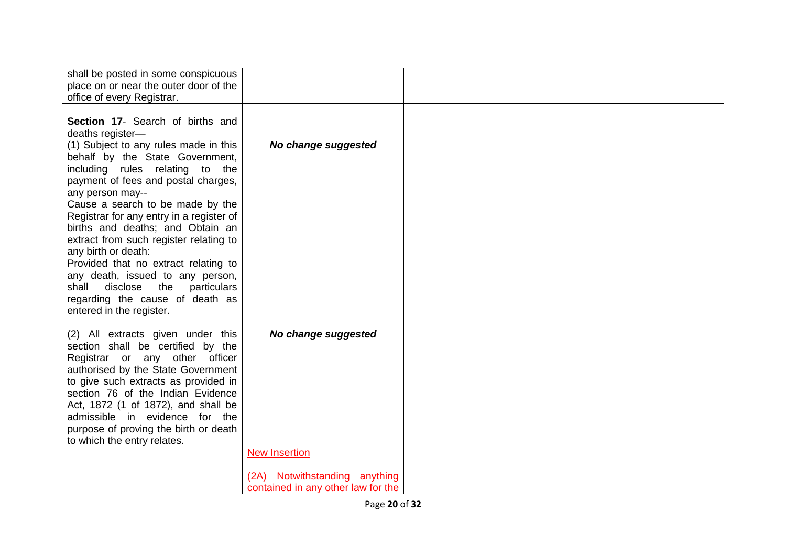| shall be posted in some conspicuous<br>place on or near the outer door of the<br>office of every Registrar.                                                                                                                                                                                                                                                                                                                                                                                                                                |                                                                     |  |
|--------------------------------------------------------------------------------------------------------------------------------------------------------------------------------------------------------------------------------------------------------------------------------------------------------------------------------------------------------------------------------------------------------------------------------------------------------------------------------------------------------------------------------------------|---------------------------------------------------------------------|--|
| Section 17- Search of births and<br>deaths register-<br>(1) Subject to any rules made in this<br>behalf by the State Government,<br>including rules relating to the<br>payment of fees and postal charges,<br>any person may--<br>Cause a search to be made by the<br>Registrar for any entry in a register of<br>births and deaths; and Obtain an<br>extract from such register relating to<br>any birth or death:<br>Provided that no extract relating to<br>any death, issued to any person,<br>shall<br>disclose<br>the<br>particulars | No change suggested                                                 |  |
| regarding the cause of death as<br>entered in the register.                                                                                                                                                                                                                                                                                                                                                                                                                                                                                |                                                                     |  |
| (2) All extracts given under this<br>section shall be certified by the<br>Registrar or any other officer<br>authorised by the State Government<br>to give such extracts as provided in<br>section 76 of the Indian Evidence<br>Act, 1872 (1 of 1872), and shall be<br>admissible in evidence for the<br>purpose of proving the birth or death<br>to which the entry relates.                                                                                                                                                               | No change suggested                                                 |  |
|                                                                                                                                                                                                                                                                                                                                                                                                                                                                                                                                            | <b>New Insertion</b>                                                |  |
|                                                                                                                                                                                                                                                                                                                                                                                                                                                                                                                                            | (2A) Notwithstanding anything<br>contained in any other law for the |  |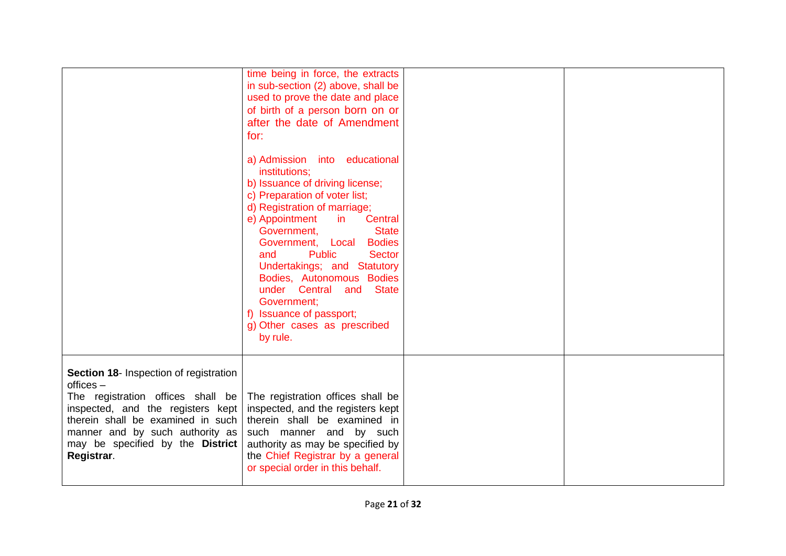|                                                                                                                                                                                                                                                           | time being in force, the extracts<br>in sub-section (2) above, shall be<br>used to prove the date and place<br>of birth of a person born on or<br>after the date of Amendment<br>for:<br>a) Admission into educational<br>institutions:<br>b) Issuance of driving license;<br>c) Preparation of voter list;<br>d) Registration of marriage;<br>e) Appointment<br>in<br>Central<br>Government,<br><b>State</b><br>Government, Local<br><b>Bodies</b><br><b>Public</b><br><b>Sector</b><br>and<br>Undertakings; and Statutory<br>Bodies, Autonomous Bodies<br>under Central and<br><b>State</b><br>Government;<br>f) Issuance of passport;<br>g) Other cases as prescribed<br>by rule. |  |
|-----------------------------------------------------------------------------------------------------------------------------------------------------------------------------------------------------------------------------------------------------------|--------------------------------------------------------------------------------------------------------------------------------------------------------------------------------------------------------------------------------------------------------------------------------------------------------------------------------------------------------------------------------------------------------------------------------------------------------------------------------------------------------------------------------------------------------------------------------------------------------------------------------------------------------------------------------------|--|
| Section 18- Inspection of registration<br>$offices -$<br>The registration offices shall be<br>inspected, and the registers kept<br>therein shall be examined in such<br>manner and by such authority as<br>may be specified by the District<br>Registrar. | The registration offices shall be<br>inspected, and the registers kept<br>therein shall be examined in<br>such manner and by such<br>authority as may be specified by<br>the Chief Registrar by a general<br>or special order in this behalf.                                                                                                                                                                                                                                                                                                                                                                                                                                        |  |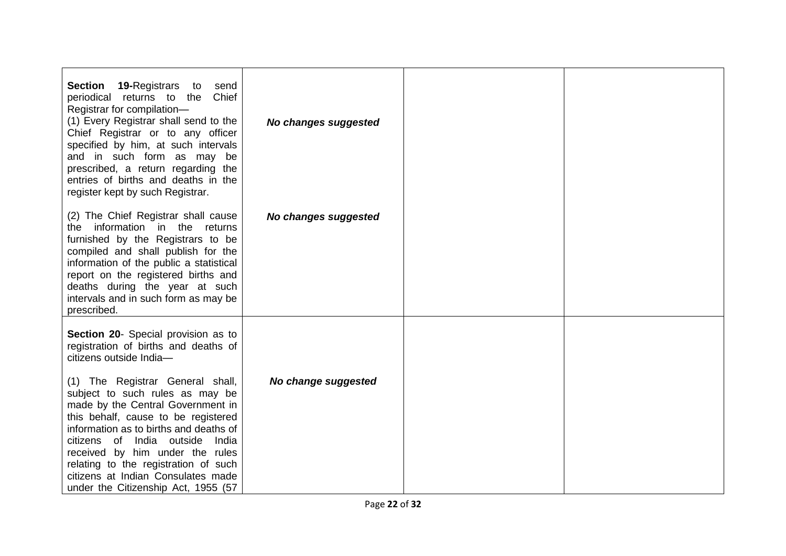| <b>Section</b><br><b>19-Registrars</b> to<br>send<br>Chief<br>periodical returns to the<br>Registrar for compilation-<br>(1) Every Registrar shall send to the<br>Chief Registrar or to any officer<br>specified by him, at such intervals<br>and in such form as may be<br>prescribed, a return regarding the<br>entries of births and deaths in the<br>register kept by such Registrar.                                                                                                      | No changes suggested |  |
|------------------------------------------------------------------------------------------------------------------------------------------------------------------------------------------------------------------------------------------------------------------------------------------------------------------------------------------------------------------------------------------------------------------------------------------------------------------------------------------------|----------------------|--|
| (2) The Chief Registrar shall cause<br>the information in the returns<br>furnished by the Registrars to be<br>compiled and shall publish for the<br>information of the public a statistical<br>report on the registered births and<br>deaths during the year at such<br>intervals and in such form as may be<br>prescribed.                                                                                                                                                                    | No changes suggested |  |
| Section 20- Special provision as to<br>registration of births and deaths of<br>citizens outside India-<br>(1) The Registrar General shall,<br>subject to such rules as may be<br>made by the Central Government in<br>this behalf, cause to be registered<br>information as to births and deaths of<br>citizens of India outside India<br>received by him under the rules<br>relating to the registration of such<br>citizens at Indian Consulates made<br>under the Citizenship Act, 1955 (57 | No change suggested  |  |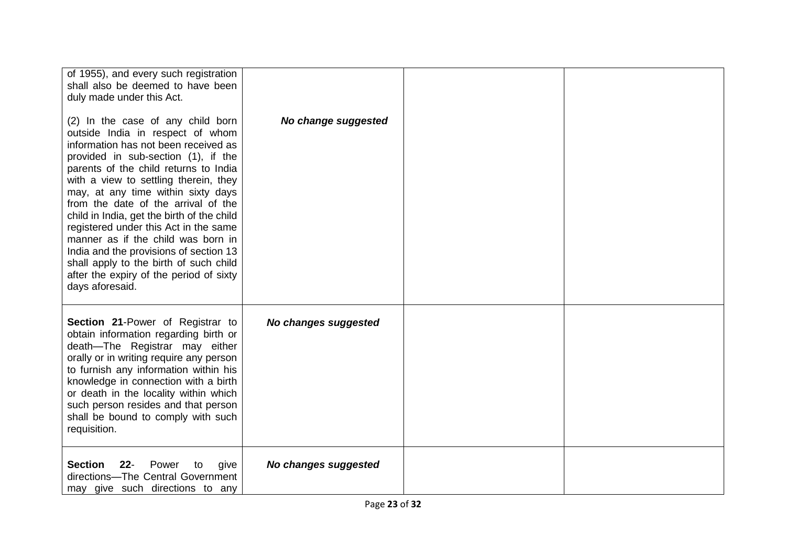| of 1955), and every such registration<br>shall also be deemed to have been<br>duly made under this Act.<br>(2) In the case of any child born                                                                                                                                                                                                                                                                                                                                                                                                                  | No change suggested  |  |
|---------------------------------------------------------------------------------------------------------------------------------------------------------------------------------------------------------------------------------------------------------------------------------------------------------------------------------------------------------------------------------------------------------------------------------------------------------------------------------------------------------------------------------------------------------------|----------------------|--|
| outside India in respect of whom<br>information has not been received as<br>provided in sub-section (1), if the<br>parents of the child returns to India<br>with a view to settling therein, they<br>may, at any time within sixty days<br>from the date of the arrival of the<br>child in India, get the birth of the child<br>registered under this Act in the same<br>manner as if the child was born in<br>India and the provisions of section 13<br>shall apply to the birth of such child<br>after the expiry of the period of sixty<br>days aforesaid. |                      |  |
| Section 21-Power of Registrar to<br>obtain information regarding birth or<br>death-The Registrar may either<br>orally or in writing require any person<br>to furnish any information within his<br>knowledge in connection with a birth<br>or death in the locality within which<br>such person resides and that person<br>shall be bound to comply with such<br>requisition.                                                                                                                                                                                 | No changes suggested |  |
| <b>Section</b><br>Power<br>$22 -$<br>to<br>give<br>directions-The Central Government<br>may give such directions to any                                                                                                                                                                                                                                                                                                                                                                                                                                       | No changes suggested |  |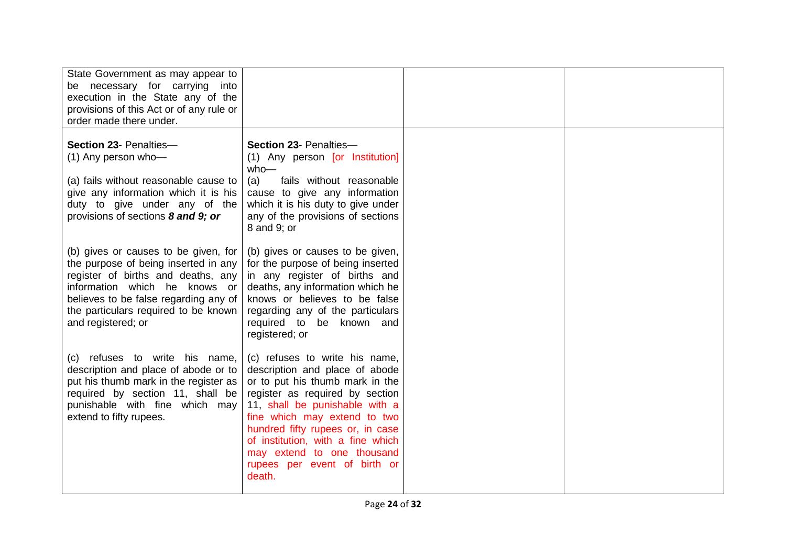| State Government as may appear to<br>be necessary for carrying into<br>execution in the State any of the<br>provisions of this Act or of any rule or<br>order made there under.                                                                            |                                                                                                                                                                                                                                                                                                                                                           |  |
|------------------------------------------------------------------------------------------------------------------------------------------------------------------------------------------------------------------------------------------------------------|-----------------------------------------------------------------------------------------------------------------------------------------------------------------------------------------------------------------------------------------------------------------------------------------------------------------------------------------------------------|--|
| Section 23- Penalties-<br>(1) Any person who-<br>(a) fails without reasonable cause to<br>give any information which it is his<br>duty to give under any of the<br>provisions of sections 8 and 9; or                                                      | Section 23- Penalties-<br>(1) Any person [or Institution]<br>$who$ —<br>fails without reasonable<br>(a)<br>cause to give any information<br>which it is his duty to give under<br>any of the provisions of sections<br>8 and 9; or                                                                                                                        |  |
| (b) gives or causes to be given, for<br>the purpose of being inserted in any<br>register of births and deaths, any<br>information which he knows or<br>believes to be false regarding any of<br>the particulars required to be known<br>and registered; or | (b) gives or causes to be given,<br>for the purpose of being inserted<br>in any register of births and<br>deaths, any information which he<br>knows or believes to be false<br>regarding any of the particulars<br>required to be known and<br>registered; or                                                                                             |  |
| (c) refuses to write his name,<br>description and place of abode or to<br>put his thumb mark in the register as<br>required by section 11, shall be<br>punishable with fine which may<br>extend to fifty rupees.                                           | (c) refuses to write his name,<br>description and place of abode<br>or to put his thumb mark in the<br>register as required by section<br>11, shall be punishable with a<br>fine which may extend to two<br>hundred fifty rupees or, in case<br>of institution, with a fine which<br>may extend to one thousand<br>rupees per event of birth or<br>death. |  |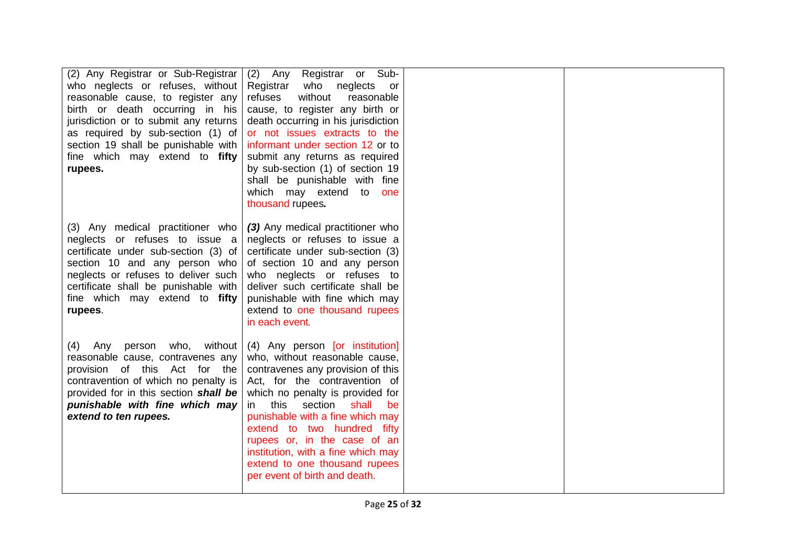| (2) Any Registrar or Sub-Registrar<br>who neglects or refuses, without<br>reasonable cause, to register any<br>birth or death occurring in his<br>jurisdiction or to submit any returns<br>as required by sub-section (1) of<br>section 19 shall be punishable with<br>fine which may extend to fifty<br>rupees. | (2)<br>Registrar or Sub-<br>Any<br>Registrar<br>who neglects or<br>without<br>refuses<br>reasonable<br>cause, to register any birth or<br>death occurring in his jurisdiction<br>or not issues extracts to the<br>informant under section 12 or to<br>submit any returns as required<br>by sub-section (1) of section 19<br>shall be punishable with fine<br>which may extend to<br>one<br>thousand rupees.                     |  |
|------------------------------------------------------------------------------------------------------------------------------------------------------------------------------------------------------------------------------------------------------------------------------------------------------------------|---------------------------------------------------------------------------------------------------------------------------------------------------------------------------------------------------------------------------------------------------------------------------------------------------------------------------------------------------------------------------------------------------------------------------------|--|
| (3) Any medical practitioner who<br>neglects or refuses to issue a<br>certificate under sub-section (3) of<br>section 10 and any person who<br>neglects or refuses to deliver such<br>certificate shall be punishable with<br>fine which may extend to fifty<br>rupees.                                          | (3) Any medical practitioner who<br>neglects or refuses to issue a<br>certificate under sub-section (3)<br>of section 10 and any person<br>who neglects or refuses to<br>deliver such certificate shall be<br>punishable with fine which may<br>extend to one thousand rupees<br>in each event.                                                                                                                                 |  |
| who, without<br>Any person<br>(4)<br>reasonable cause, contravenes any<br>provision of this Act for the<br>contravention of which no penalty is<br>provided for in this section shall be<br>punishable with fine which may<br>extend to ten rupees.                                                              | (4) Any person [or institution]<br>who, without reasonable cause,<br>contravenes any provision of this<br>Act, for the contravention of<br>which no penalty is provided for<br>this<br>section<br>shall<br>in.<br>be<br>punishable with a fine which may<br>extend to two hundred fifty<br>rupees or, in the case of an<br>institution, with a fine which may<br>extend to one thousand rupees<br>per event of birth and death. |  |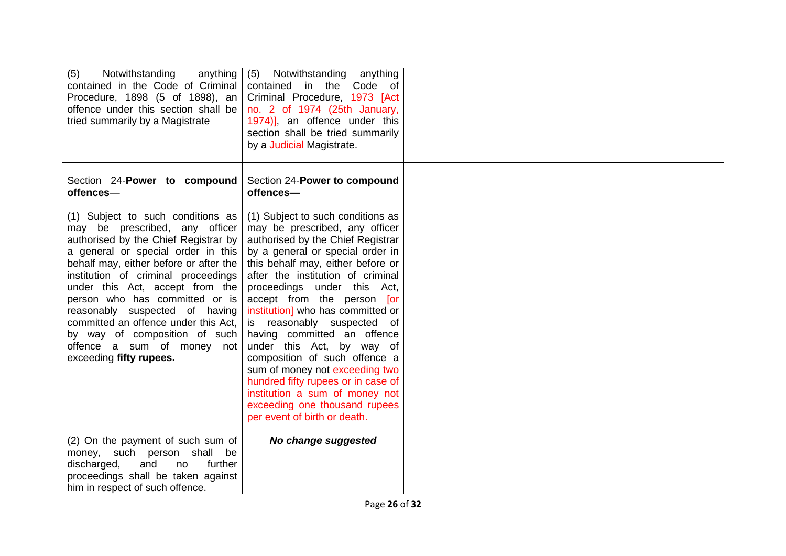| (5)<br>Notwithstanding<br>anything<br>contained in the Code of Criminal<br>Procedure, 1898 (5 of 1898), an<br>offence under this section shall be<br>tried summarily by a Magistrate                                                                                                                                                                                                                                                                                        | (5)<br>Notwithstanding anything<br>contained in the Code of<br>Criminal Procedure, 1973 [Act<br>no. 2 of 1974 (25th January,<br>1974)], an offence under this<br>section shall be tried summarily<br>by a Judicial Magistrate.                                                                                                                                                                                                                                                                                                                                                                                                 |  |
|-----------------------------------------------------------------------------------------------------------------------------------------------------------------------------------------------------------------------------------------------------------------------------------------------------------------------------------------------------------------------------------------------------------------------------------------------------------------------------|--------------------------------------------------------------------------------------------------------------------------------------------------------------------------------------------------------------------------------------------------------------------------------------------------------------------------------------------------------------------------------------------------------------------------------------------------------------------------------------------------------------------------------------------------------------------------------------------------------------------------------|--|
| Section 24-Power to compound<br>offences-                                                                                                                                                                                                                                                                                                                                                                                                                                   | Section 24-Power to compound<br>offences-                                                                                                                                                                                                                                                                                                                                                                                                                                                                                                                                                                                      |  |
| (1) Subject to such conditions as<br>may be prescribed, any officer<br>authorised by the Chief Registrar by<br>a general or special order in this<br>behalf may, either before or after the<br>institution of criminal proceedings<br>under this Act, accept from the<br>person who has committed or is<br>reasonably suspected of having<br>committed an offence under this Act,<br>by way of composition of such<br>offence a sum of money not<br>exceeding fifty rupees. | (1) Subject to such conditions as<br>may be prescribed, any officer<br>authorised by the Chief Registrar<br>by a general or special order in<br>this behalf may, either before or<br>after the institution of criminal<br>proceedings under this Act,<br>accept from the person [or<br>institution] who has committed or<br>is reasonably suspected of<br>having committed an offence<br>under this Act, by way of<br>composition of such offence a<br>sum of money not exceeding two<br>hundred fifty rupees or in case of<br>institution a sum of money not<br>exceeding one thousand rupees<br>per event of birth or death. |  |
| (2) On the payment of such sum of<br>money, such person shall be<br>further<br>discharged,<br>and<br>no<br>proceedings shall be taken against<br>him in respect of such offence.                                                                                                                                                                                                                                                                                            | No change suggested                                                                                                                                                                                                                                                                                                                                                                                                                                                                                                                                                                                                            |  |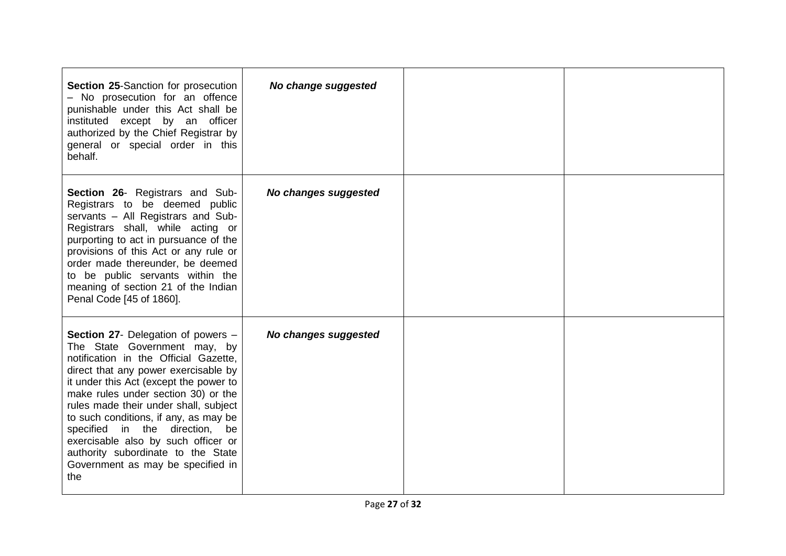| <b>Section 25-Sanction for prosecution</b><br>- No prosecution for an offence<br>punishable under this Act shall be<br>instituted except by an officer<br>authorized by the Chief Registrar by<br>general or special order in this<br>behalf.                                                                                                                                                                                                                                               | No change suggested  |  |
|---------------------------------------------------------------------------------------------------------------------------------------------------------------------------------------------------------------------------------------------------------------------------------------------------------------------------------------------------------------------------------------------------------------------------------------------------------------------------------------------|----------------------|--|
| <b>Section 26- Registrars and Sub-</b><br>Registrars to be deemed public<br>servants - All Registrars and Sub-<br>Registrars shall, while acting or<br>purporting to act in pursuance of the<br>provisions of this Act or any rule or<br>order made thereunder, be deemed<br>to be public servants within the<br>meaning of section 21 of the Indian<br>Penal Code [45 of 1860].                                                                                                            | No changes suggested |  |
| <b>Section 27-</b> Delegation of powers –<br>The State Government may, by<br>notification in the Official Gazette,<br>direct that any power exercisable by<br>it under this Act (except the power to<br>make rules under section 30) or the<br>rules made their under shall, subject<br>to such conditions, if any, as may be<br>specified in the direction,<br>be<br>exercisable also by such officer or<br>authority subordinate to the State<br>Government as may be specified in<br>the | No changes suggested |  |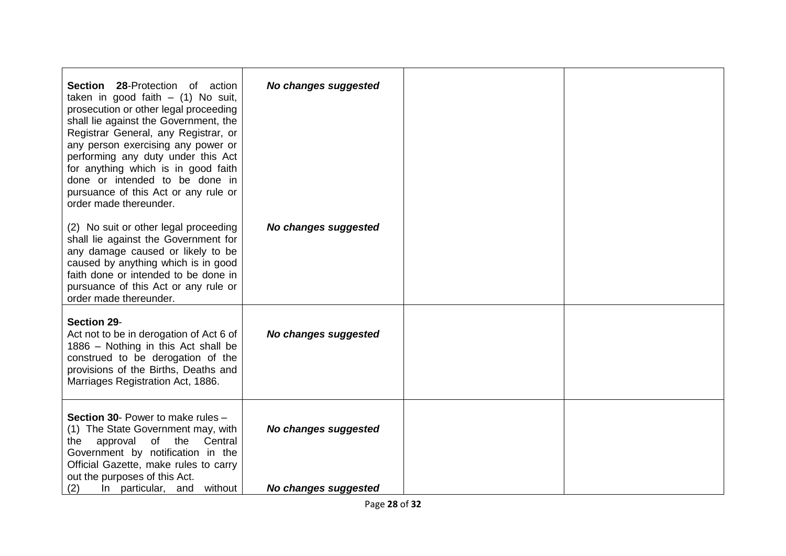| <b>Section 28-Protection of action</b><br>taken in good faith $-$ (1) No suit,<br>prosecution or other legal proceeding<br>shall lie against the Government, the<br>Registrar General, any Registrar, or<br>any person exercising any power or<br>performing any duty under this Act<br>for anything which is in good faith<br>done or intended to be done in<br>pursuance of this Act or any rule or<br>order made thereunder. | No changes suggested                         |  |
|---------------------------------------------------------------------------------------------------------------------------------------------------------------------------------------------------------------------------------------------------------------------------------------------------------------------------------------------------------------------------------------------------------------------------------|----------------------------------------------|--|
| (2) No suit or other legal proceeding<br>shall lie against the Government for<br>any damage caused or likely to be<br>caused by anything which is in good<br>faith done or intended to be done in<br>pursuance of this Act or any rule or<br>order made thereunder.                                                                                                                                                             | No changes suggested                         |  |
| <b>Section 29-</b><br>Act not to be in derogation of Act 6 of<br>1886 - Nothing in this Act shall be<br>construed to be derogation of the<br>provisions of the Births, Deaths and<br>Marriages Registration Act, 1886.                                                                                                                                                                                                          | No changes suggested                         |  |
| <b>Section 30- Power to make rules -</b><br>(1) The State Government may, with<br>approval<br>of<br>the<br>Central<br>the<br>Government by notification in the<br>Official Gazette, make rules to carry<br>out the purposes of this Act.<br>(2)<br>In particular, and without                                                                                                                                                   | No changes suggested<br>No changes suggested |  |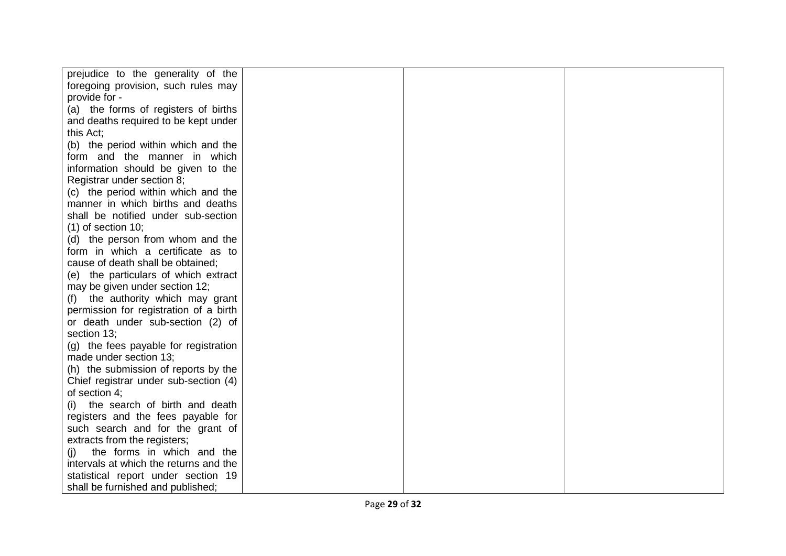| prejudice to the generality of the     |  |  |
|----------------------------------------|--|--|
| foregoing provision, such rules may    |  |  |
| provide for -                          |  |  |
| (a) the forms of registers of births   |  |  |
| and deaths required to be kept under   |  |  |
| this Act;                              |  |  |
| (b) the period within which and the    |  |  |
| form and the manner in which           |  |  |
| information should be given to the     |  |  |
| Registrar under section 8;             |  |  |
| (c) the period within which and the    |  |  |
| manner in which births and deaths      |  |  |
| shall be notified under sub-section    |  |  |
| $(1)$ of section 10;                   |  |  |
| (d) the person from whom and the       |  |  |
| form in which a certificate as to      |  |  |
| cause of death shall be obtained;      |  |  |
| (e) the particulars of which extract   |  |  |
| may be given under section 12;         |  |  |
| (f) the authority which may grant      |  |  |
| permission for registration of a birth |  |  |
| or death under sub-section (2) of      |  |  |
| section 13;                            |  |  |
| (g) the fees payable for registration  |  |  |
| made under section 13;                 |  |  |
| (h) the submission of reports by the   |  |  |
| Chief registrar under sub-section (4)  |  |  |
| of section 4;                          |  |  |
| the search of birth and death<br>(i)   |  |  |
| registers and the fees payable for     |  |  |
| such search and for the grant of       |  |  |
| extracts from the registers;           |  |  |
| the forms in which and the<br>(i)      |  |  |
| intervals at which the returns and the |  |  |
| statistical report under section 19    |  |  |
| shall be furnished and published;      |  |  |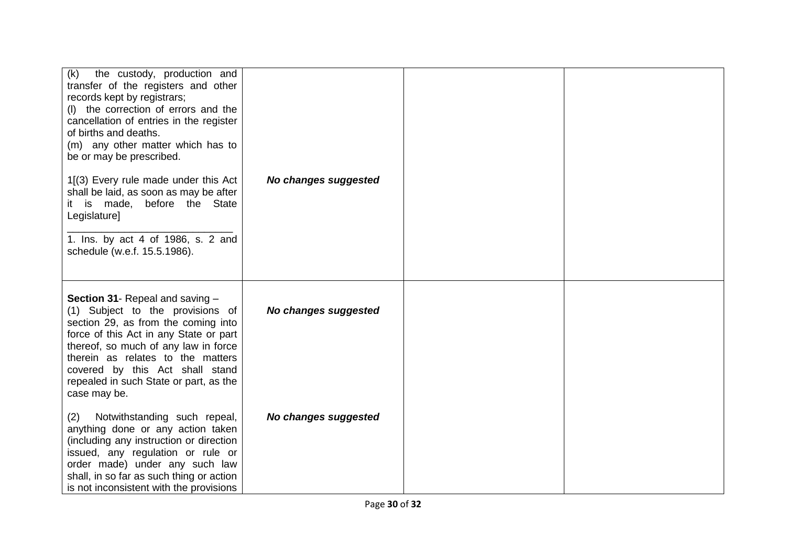| the custody, production and<br>(k)<br>transfer of the registers and other<br>records kept by registrars;<br>(I) the correction of errors and the<br>cancellation of entries in the register<br>of births and deaths.<br>(m) any other matter which has to<br>be or may be prescribed.<br>1[(3) Every rule made under this Act<br>shall be laid, as soon as may be after<br>it is made, before the State<br>Legislature]<br>1. Ins. by act 4 of 1986, s. 2 and<br>schedule (w.e.f. 15.5.1986). | No changes suggested |  |
|-----------------------------------------------------------------------------------------------------------------------------------------------------------------------------------------------------------------------------------------------------------------------------------------------------------------------------------------------------------------------------------------------------------------------------------------------------------------------------------------------|----------------------|--|
| Section 31- Repeal and saving -<br>(1) Subject to the provisions of<br>section 29, as from the coming into<br>force of this Act in any State or part<br>thereof, so much of any law in force<br>therein as relates to the matters<br>covered by this Act shall stand<br>repealed in such State or part, as the<br>case may be.                                                                                                                                                                | No changes suggested |  |
| Notwithstanding such repeal,<br>(2)<br>anything done or any action taken<br>(including any instruction or direction<br>issued, any regulation or rule or<br>order made) under any such law<br>shall, in so far as such thing or action<br>is not inconsistent with the provisions                                                                                                                                                                                                             | No changes suggested |  |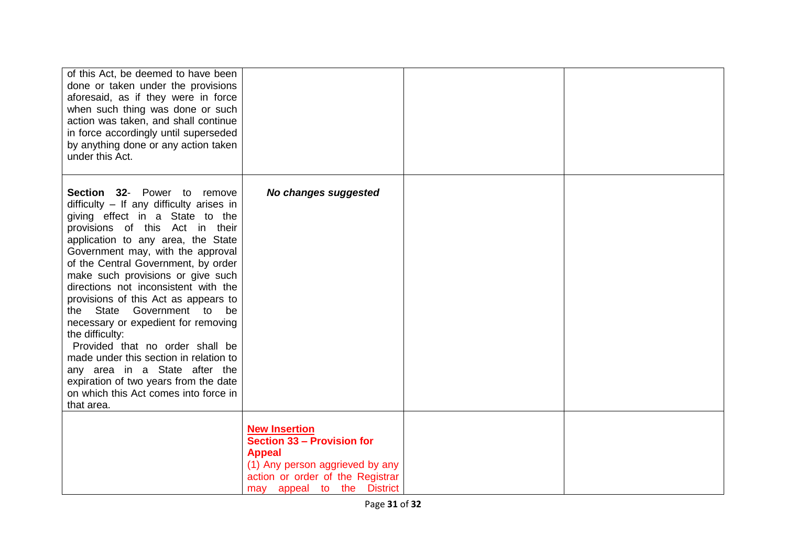| of this Act, be deemed to have been<br>done or taken under the provisions<br>aforesaid, as if they were in force<br>when such thing was done or such<br>action was taken, and shall continue<br>in force accordingly until superseded<br>by anything done or any action taken<br>under this Act.                                                                                                                                                                                                                                                                                                                                                                                             |                                                                                                                                                                          |  |
|----------------------------------------------------------------------------------------------------------------------------------------------------------------------------------------------------------------------------------------------------------------------------------------------------------------------------------------------------------------------------------------------------------------------------------------------------------------------------------------------------------------------------------------------------------------------------------------------------------------------------------------------------------------------------------------------|--------------------------------------------------------------------------------------------------------------------------------------------------------------------------|--|
| Section 32- Power to remove<br>$difficulty - If any difficulty arises in$<br>giving effect in a State to the<br>provisions of this Act in their<br>application to any area, the State<br>Government may, with the approval<br>of the Central Government, by order<br>make such provisions or give such<br>directions not inconsistent with the<br>provisions of this Act as appears to<br>the State Government to be<br>necessary or expedient for removing<br>the difficulty:<br>Provided that no order shall be<br>made under this section in relation to<br>any area in a State after the<br>expiration of two years from the date<br>on which this Act comes into force in<br>that area. | No changes suggested                                                                                                                                                     |  |
|                                                                                                                                                                                                                                                                                                                                                                                                                                                                                                                                                                                                                                                                                              | <b>New Insertion</b><br>Section 33 - Provision for<br><b>Appeal</b><br>(1) Any person aggrieved by any<br>action or order of the Registrar<br>may appeal to the District |  |